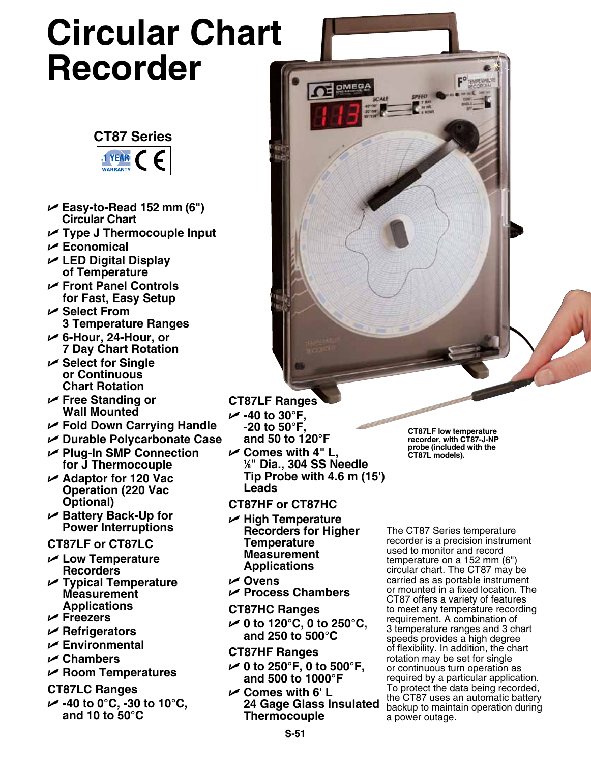# **Circular Chart Recorder**

# **CT87 Series**



- U **Easy-to-Read 152 mm (6") Circular Chart**
- U **Type J Thermocouple Input**
- U **Economical**
- U **LED Digital Display of Temperature**
- U **Front Panel Controls for Fast, Easy Setup**
- U **Select From 3 Temperature Ranges**
- U **6-Hour, 24-Hour, or 7 Day Chart Rotation**
- U **Select for Single or Continuous Chart Rotation**
- U **Free Standing or Wall Mounted**
- U **Fold Down Carrying Handle**
- U **Durable Polycarbonate Case**
- U **Plug-In SMP Connection for J Thermocouple**
- U **Adaptor for 120 Vac Operation (220 Vac Optional)**
- U **Battery Back-Up for Power Interruptions**

## **CT87LF or CT87LC**

- U **Low Temperature Recorders**
- U **Typical Temperature Measurement Applications**
- U **Freezers**
- U **Refrigerators**
- U **Environmental**
- U **Chambers**
- U **Room Temperatures**

## **CT87LC Ranges**

U **-40 to 0°C, -30 to 10°C, and 10 to 50°C**

# **CT87LF Ranges**

- U **-40 to 30°F, -20 to 50°F, and 50 to 120°F**
- U **Comes with 4" L, 1 ⁄8" Dia., 304 SS Needle Tip Probe with 4.6 m (15') Leads**

OF OMERA

# **CT87HF or CT87HC**

- U **High Temperature Recorders for Higher Temperature Measurement Applications**
- U **Ovens**
- U **Process Chambers**
- **CT87HC Ranges**
- U **0 to 120°C, 0 to 250°C, and 250 to 500°C**
- **CT87HF Ranges**
- U **0 to 250°F, 0 to 500°F, and 500 to 1000°F**
- U **Comes with 6' L 24 Gage Glass Insulated Thermocouple**

**CT87LF low temperature recorder, with CT87-J-NP probe (included with the CT87L models).**

The CT87 Series temperature recorder is a precision instrument used to monitor and record temperature on a 152 mm (6") circular chart. The CT87 may be carried as as portable instrument or mounted in a fixed location. The CT87 offers a variety of features to meet any temperature recording requirement. A combination of 3 temperature ranges and 3 chart speeds provides a high degree of flexibility. In addition, the chart rotation may be set for single or continuous turn operation as required by a particular application. To protect the data being recorded, the CT87 uses an automatic battery backup to maintain operation during a power outage.